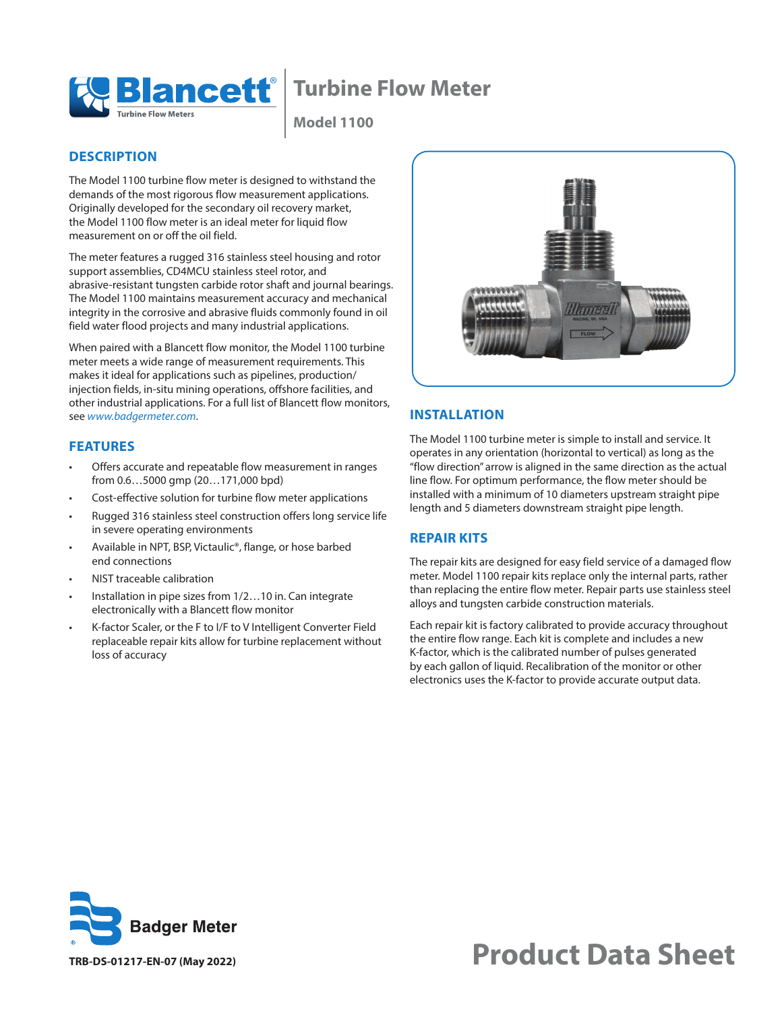

## **Turbine Flow Meter**

**Model 1100**

#### **DESCRIPTION**

The Model 1100 turbine flow meter is designed to withstand the demands of the most rigorous flow measurement applications. Originally developed for the secondary oil recovery market, the Model 1100 flow meter is an ideal meter for liquid flow measurement on or off the oil field.

The meter features a rugged 316 stainless steel housing and rotor support assemblies, CD4MCU stainless steel rotor, and abrasive-resistant tungsten carbide rotor shaft and journal bearings. The Model 1100 maintains measurement accuracy and mechanical integrity in the corrosive and abrasive fluids commonly found in oil field water flood projects and many industrial applications.

When paired with a Blancett flow monitor, the Model 1100 turbine meter meets a wide range of measurement requirements. This makes it ideal for applications such as pipelines, production/ injection fields, in-situ mining operations, offshore facilities, and other industrial applications. For a full list of Blancett flow monitors, see *[www.badgermeter.com](http://www.badgermeter.com)*.

#### **FEATURES**

- Offers accurate and repeatable flow measurement in ranges from 0.6…5000 gmp (20…171,000 bpd)
- Cost-effective solution for turbine flow meter applications
- Rugged 316 stainless steel construction offers long service life in severe operating environments
- Available in NPT, BSP, Victaulic®, flange, or hose barbed end connections
- NIST traceable calibration
- Installation in pipe sizes from 1/2...10 in. Can integrate electronically with a Blancett flow monitor
- K-factor Scaler, or the F to I/F to V Intelligent Converter Field replaceable repair kits allow for turbine replacement without loss of accuracy



#### **INSTALLATION**

The Model 1100 turbine meter is simple to install and service. It operates in any orientation (horizontal to vertical) as long as the "flow direction" arrow is aligned in the same direction as the actual line flow. For optimum performance, the flow meter should be installed with a minimum of 10 diameters upstream straight pipe length and 5 diameters downstream straight pipe length.

#### **REPAIR KITS**

The repair kits are designed for easy field service of a damaged flow meter. Model 1100 repair kits replace only the internal parts, rather than replacing the entire flow meter. Repair parts use stainless steel alloys and tungsten carbide construction materials.

Each repair kit is factory calibrated to provide accuracy throughout the entire flow range. Each kit is complete and includes a new K-factor, which is the calibrated number of pulses generated by each gallon of liquid. Recalibration of the monitor or other electronics uses the K-factor to provide accurate output data.



# **Product Data Sheet**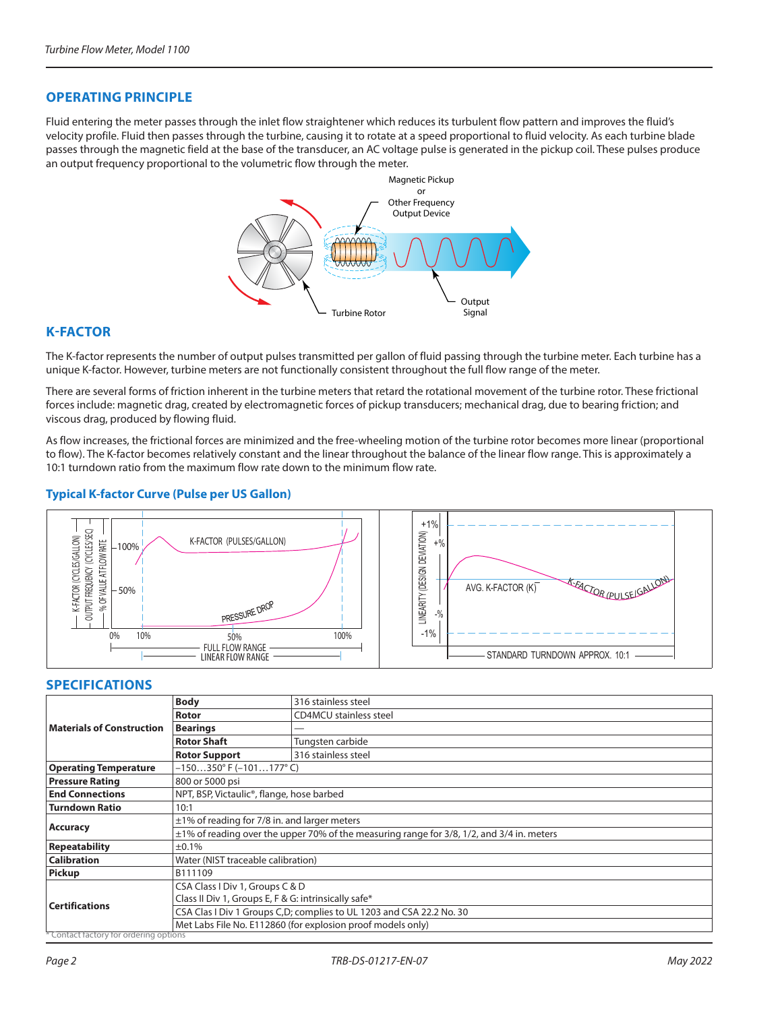#### **OPERATING PRINCIPLE**

Fluid entering the meter passes through the inlet flow straightener which reduces its turbulent flow pattern and improves the fluid's velocity profile. Fluid then passes through the turbine, causing it to rotate at a speed proportional to fluid velocity. As each turbine blade passes through the magnetic field at the base of the transducer, an AC voltage pulse is generated in the pickup coil. These pulses produce an output frequency proportional to the volumetric flow through the meter.



#### **K-FACTOR**

The K-factor represents the number of output pulses transmitted per gallon of fluid passing through the turbine meter. Each turbine has a unique K-factor. However, turbine meters are not functionally consistent throughout the full flow range of the meter.

There are several forms of friction inherent in the turbine meters that retard the rotational movement of the turbine rotor. These frictional forces include: magnetic drag, created by electromagnetic forces of pickup transducers; mechanical drag, due to bearing friction; and viscous drag, produced by flowing fluid.

As flow increases, the frictional forces are minimized and the free-wheeling motion of the turbine rotor becomes more linear (proportional to flow). The K-factor becomes relatively constant and the linear throughout the balance of the linear flow range. This is approximately a 10:1 turndown ratio from the maximum flow rate down to the minimum flow rate.

#### **Typical K-factor Curve (Pulse per US Gallon)**



#### **SPECIFICATIONS**

| <b>Materials of Construction</b>       | <b>Body</b>                                                                                    | 316 stainless steel           |  |  |  |  |
|----------------------------------------|------------------------------------------------------------------------------------------------|-------------------------------|--|--|--|--|
|                                        | Rotor                                                                                          | <b>CD4MCU</b> stainless steel |  |  |  |  |
|                                        | <b>Bearings</b>                                                                                |                               |  |  |  |  |
|                                        | <b>Rotor Shaft</b>                                                                             | Tungsten carbide              |  |  |  |  |
|                                        | <b>Rotor Support</b>                                                                           | 316 stainless steel           |  |  |  |  |
| <b>Operating Temperature</b>           | $-150350^{\circ}$ F (-101177°C)                                                                |                               |  |  |  |  |
| <b>Pressure Rating</b>                 | 800 or 5000 psi                                                                                |                               |  |  |  |  |
| <b>End Connections</b>                 | NPT, BSP, Victaulic <sup>®</sup> , flange, hose barbed                                         |                               |  |  |  |  |
| <b>Turndown Ratio</b>                  | 10:1                                                                                           |                               |  |  |  |  |
| <b>Accuracy</b>                        | $\pm$ 1% of reading for 7/8 in. and larger meters                                              |                               |  |  |  |  |
|                                        | $\pm$ 1% of reading over the upper 70% of the measuring range for 3/8, 1/2, and 3/4 in. meters |                               |  |  |  |  |
| <b>Repeatability</b>                   | ±0.1%                                                                                          |                               |  |  |  |  |
| <b>Calibration</b>                     | Water (NIST traceable calibration)                                                             |                               |  |  |  |  |
| Pickup                                 | B111109                                                                                        |                               |  |  |  |  |
| <b>Certifications</b>                  | CSA Class I Div 1, Groups C & D                                                                |                               |  |  |  |  |
|                                        | Class II Div 1, Groups E, F & G: intrinsically safe*                                           |                               |  |  |  |  |
|                                        | CSA Clas I Div 1 Groups C,D; complies to UL 1203 and CSA 22.2 No. 30                           |                               |  |  |  |  |
|                                        | Met Labs File No. E112860 (for explosion proof models only)                                    |                               |  |  |  |  |
| * Contact factory for ordering options |                                                                                                |                               |  |  |  |  |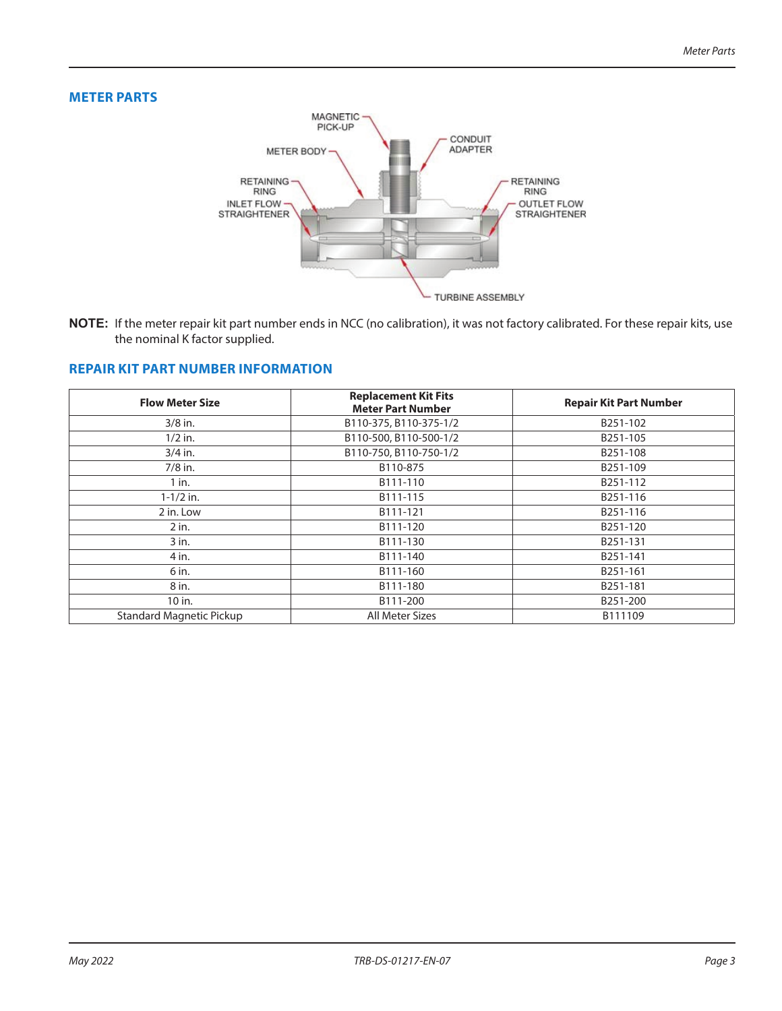### **METER PARTS**



**NOTE:** If the meter repair kit part number ends in NCC (no calibration), it was not factory calibrated. For these repair kits, use the nominal K factor supplied.

#### **REPAIR KIT PART NUMBER INFORMATION**

| <b>Flow Meter Size</b>   | <b>Replacement Kit Fits</b><br><b>Meter Part Number</b> | <b>Repair Kit Part Number</b> |  |  |  |
|--------------------------|---------------------------------------------------------|-------------------------------|--|--|--|
| $3/8$ in.                | B110-375, B110-375-1/2                                  | B251-102                      |  |  |  |
| $1/2$ in.                | B110-500, B110-500-1/2                                  | B251-105                      |  |  |  |
| $3/4$ in.                | B110-750, B110-750-1/2                                  | B251-108                      |  |  |  |
| $7/8$ in.                | B110-875                                                | B251-109                      |  |  |  |
| $1$ in.                  | B111-110                                                | B251-112                      |  |  |  |
| $1 - 1/2$ in.            | B111-115                                                | B251-116                      |  |  |  |
| 2 in. Low                | B111-121                                                | B251-116                      |  |  |  |
| $2$ in.                  | B111-120                                                | B251-120                      |  |  |  |
| $3$ in.                  | B111-130                                                | B251-131                      |  |  |  |
| 4 in.                    | B111-140                                                | B251-141                      |  |  |  |
| 6 in.                    | B111-160                                                | B251-161                      |  |  |  |
| 8 in.                    | B111-180                                                | B251-181                      |  |  |  |
| 10 in.                   | B111-200                                                | B251-200                      |  |  |  |
| Standard Magnetic Pickup | All Meter Sizes                                         | B111109                       |  |  |  |